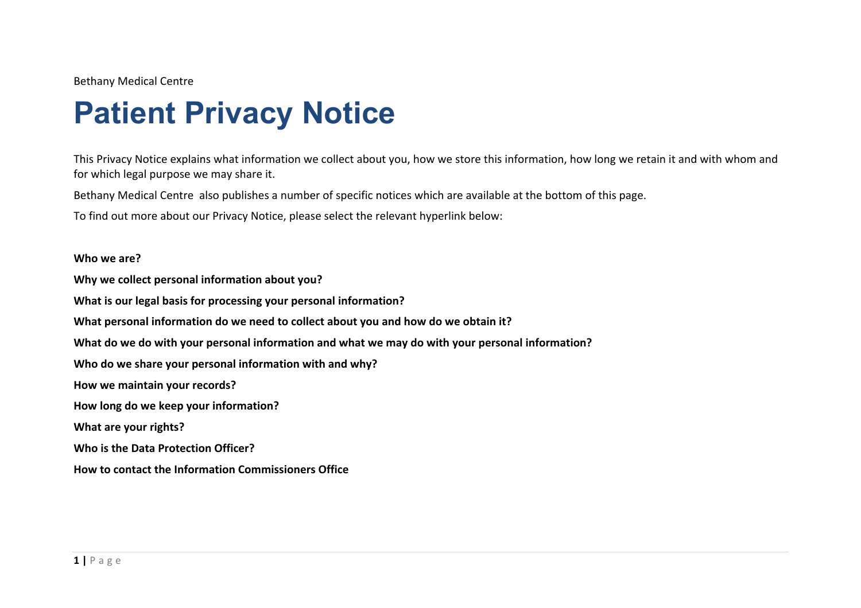Bethany Medical Centre

## **Patient Privacy Notice**

This Privacy Notice explains what information we collect about you, how we store this information, how long we retain it and with whom and for which legal purpose we may share it.

Bethany Medical Centre also publishes a number of specific notices which are available at the bottom of this page.

To find out more about our Privacy Notice, please select the relevant hyperlink below:

## **Who we are?**

**Why we collect personal information about you? What is our legal basis for processing your personal information? What personal information do we need to collect about you and how do we obtain it? What do we do with your personal information and what we may do with your personal information? Who do we share your personal information with and why? How we maintain your records? How long do we keep your information? What are your rights? Who is the Data Protection Officer? How to contact the Information Commissioners Office**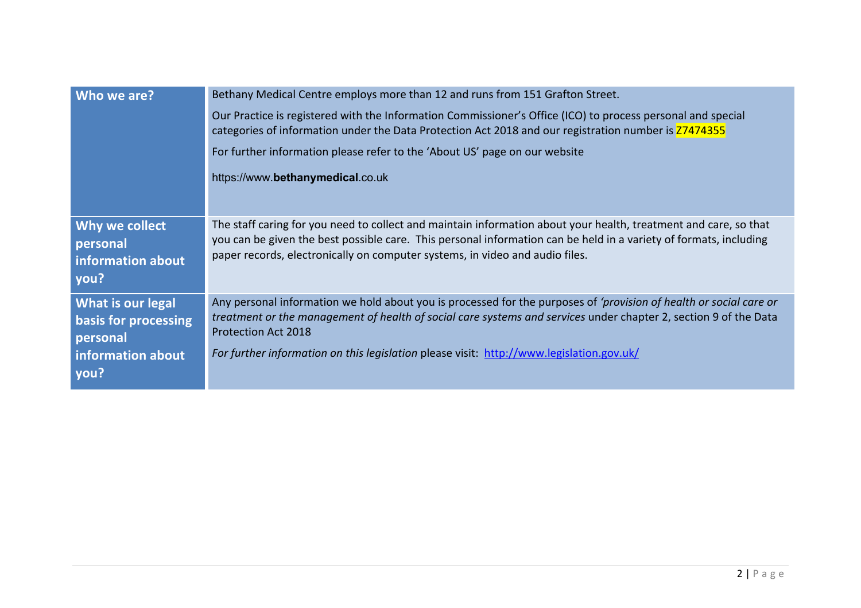| Who we are?                                                                               | Bethany Medical Centre employs more than 12 and runs from 151 Grafton Street.<br>Our Practice is registered with the Information Commissioner's Office (ICO) to process personal and special<br>categories of information under the Data Protection Act 2018 and our registration number is Z7474355<br>For further information please refer to the 'About US' page on our website<br>https://www.bethanymedical.co.uk |
|-------------------------------------------------------------------------------------------|------------------------------------------------------------------------------------------------------------------------------------------------------------------------------------------------------------------------------------------------------------------------------------------------------------------------------------------------------------------------------------------------------------------------|
| Why we collect<br>personal<br>information about<br>you?                                   | The staff caring for you need to collect and maintain information about your health, treatment and care, so that<br>you can be given the best possible care. This personal information can be held in a variety of formats, including<br>paper records, electronically on computer systems, in video and audio files.                                                                                                  |
| <b>What is our legal</b><br>basis for processing<br>personal<br>information about<br>you? | Any personal information we hold about you is processed for the purposes of 'provision of health or social care or<br>treatment or the management of health of social care systems and services under chapter 2, section 9 of the Data<br><b>Protection Act 2018</b><br>For further information on this legislation please visit: http://www.legislation.gov.uk/                                                       |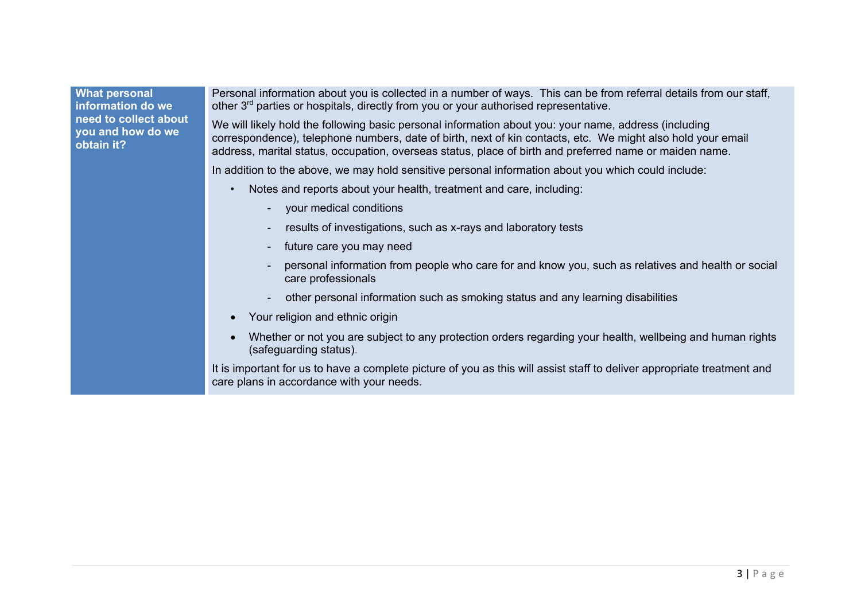## **What personal information do we need to collect about you and how do we obtain it?**

Personal information about you is collected in a number of ways. This can be from referral details from our staff, other 3<sup>rd</sup> parties or hospitals, directly from you or your authorised representative.

We will likely hold the following basic personal information about you: your name, address (including correspondence), telephone numbers, date of birth, next of kin contacts, etc. We might also hold your email address, marital status, occupation, overseas status, place of birth and preferred name or maiden name.

In addition to the above, we may hold sensitive personal information about you which could include:

- Notes and reports about your health, treatment and care, including:
	- your medical conditions
	- results of investigations, such as x-rays and laboratory tests
	- future care you may need
	- personal information from people who care for and know you, such as relatives and health or social care professionals
	- other personal information such as smoking status and any learning disabilities
- Your religion and ethnic origin
- Whether or not you are subject to any protection orders regarding your health, wellbeing and human rights (safeguarding status).

It is important for us to have a complete picture of you as this will assist staff to deliver appropriate treatment and care plans in accordance with your needs.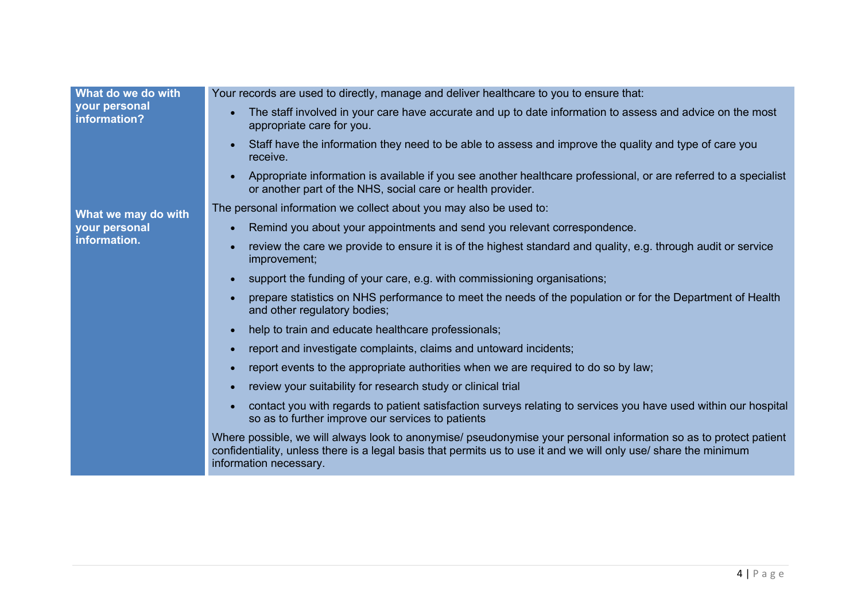| What do we do with                                   | Your records are used to directly, manage and deliver healthcare to you to ensure that:                                                                                                                                                                         |
|------------------------------------------------------|-----------------------------------------------------------------------------------------------------------------------------------------------------------------------------------------------------------------------------------------------------------------|
| your personal<br>information?                        | The staff involved in your care have accurate and up to date information to assess and advice on the most<br>appropriate care for you.                                                                                                                          |
|                                                      | Staff have the information they need to be able to assess and improve the quality and type of care you<br>receive.                                                                                                                                              |
| What we may do with<br>your personal<br>information. | Appropriate information is available if you see another healthcare professional, or are referred to a specialist<br>or another part of the NHS, social care or health provider.                                                                                 |
|                                                      | The personal information we collect about you may also be used to:                                                                                                                                                                                              |
|                                                      | Remind you about your appointments and send you relevant correspondence.                                                                                                                                                                                        |
|                                                      | review the care we provide to ensure it is of the highest standard and quality, e.g. through audit or service<br>improvement;                                                                                                                                   |
|                                                      | support the funding of your care, e.g. with commissioning organisations;                                                                                                                                                                                        |
|                                                      | prepare statistics on NHS performance to meet the needs of the population or for the Department of Health<br>and other regulatory bodies;                                                                                                                       |
|                                                      | help to train and educate healthcare professionals;                                                                                                                                                                                                             |
|                                                      | report and investigate complaints, claims and untoward incidents;                                                                                                                                                                                               |
|                                                      | report events to the appropriate authorities when we are required to do so by law;                                                                                                                                                                              |
|                                                      | review your suitability for research study or clinical trial                                                                                                                                                                                                    |
|                                                      | contact you with regards to patient satisfaction surveys relating to services you have used within our hospital<br>so as to further improve our services to patients                                                                                            |
|                                                      | Where possible, we will always look to anonymise/ pseudonymise your personal information so as to protect patient<br>confidentiality, unless there is a legal basis that permits us to use it and we will only use/ share the minimum<br>information necessary. |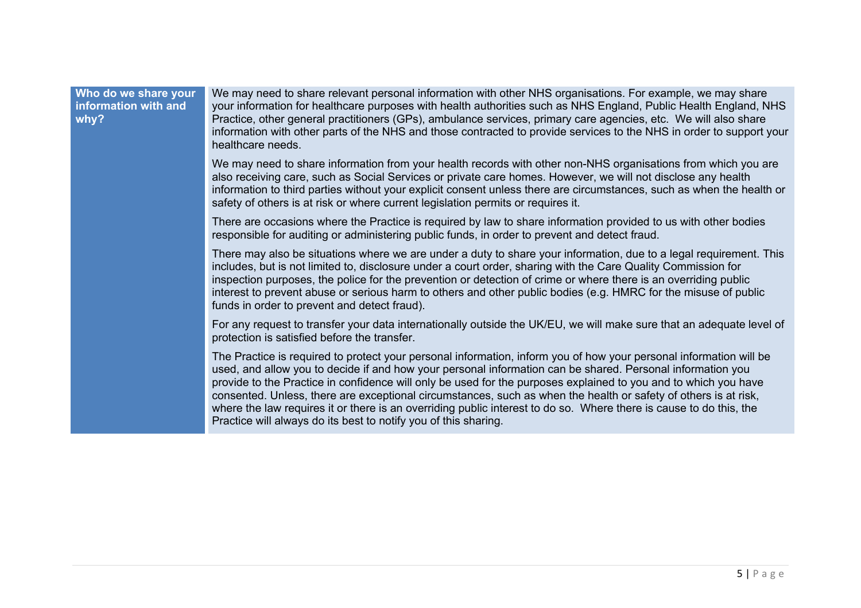## **Who do we share your information with and why?**

We may need to share relevant personal information with other NHS organisations. For example, we may share your information for healthcare purposes with health authorities such as NHS England, Public Health England, NHS Practice, other general practitioners (GPs), ambulance services, primary care agencies, etc. We will also share information with other parts of the NHS and those contracted to provide services to the NHS in order to support your healthcare needs.

We may need to share information from your health records with other non-NHS organisations from which you are also receiving care, such as Social Services or private care homes. However, we will not disclose any health information to third parties without your explicit consent unless there are circumstances, such as when the health or safety of others is at risk or where current legislation permits or requires it.

There are occasions where the Practice is required by law to share information provided to us with other bodies responsible for auditing or administering public funds, in order to prevent and detect fraud.

There may also be situations where we are under a duty to share your information, due to a legal requirement. This includes, but is not limited to, disclosure under a court order, sharing with the Care Quality Commission for inspection purposes, the police for the prevention or detection of crime or where there is an overriding public interest to prevent abuse or serious harm to others and other public bodies (e.g. HMRC for the misuse of public funds in order to prevent and detect fraud).

For any request to transfer your data internationally outside the UK/EU, we will make sure that an adequate level of protection is satisfied before the transfer.

The Practice is required to protect your personal information, inform you of how your personal information will be used, and allow you to decide if and how your personal information can be shared. Personal information you provide to the Practice in confidence will only be used for the purposes explained to you and to which you have consented. Unless, there are exceptional circumstances, such as when the health or safety of others is at risk, where the law requires it or there is an overriding public interest to do so. Where there is cause to do this, the Practice will always do its best to notify you of this sharing.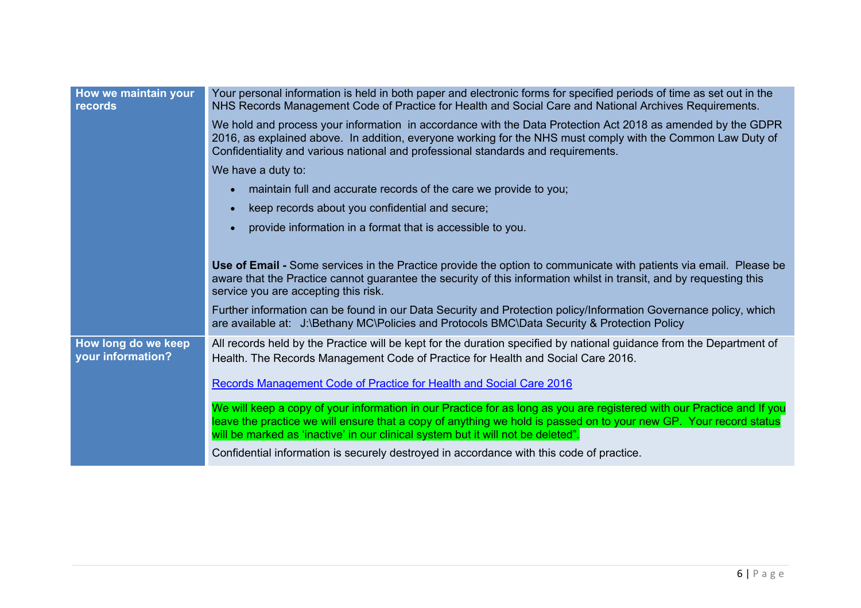| How we maintain your<br>records          | Your personal information is held in both paper and electronic forms for specified periods of time as set out in the<br>NHS Records Management Code of Practice for Health and Social Care and National Archives Requirements.                                                                                                  |
|------------------------------------------|---------------------------------------------------------------------------------------------------------------------------------------------------------------------------------------------------------------------------------------------------------------------------------------------------------------------------------|
|                                          | We hold and process your information in accordance with the Data Protection Act 2018 as amended by the GDPR<br>2016, as explained above. In addition, everyone working for the NHS must comply with the Common Law Duty of<br>Confidentiality and various national and professional standards and requirements.                 |
|                                          | We have a duty to:                                                                                                                                                                                                                                                                                                              |
|                                          | maintain full and accurate records of the care we provide to you;                                                                                                                                                                                                                                                               |
|                                          | keep records about you confidential and secure;                                                                                                                                                                                                                                                                                 |
|                                          | provide information in a format that is accessible to you.                                                                                                                                                                                                                                                                      |
|                                          |                                                                                                                                                                                                                                                                                                                                 |
|                                          | Use of Email - Some services in the Practice provide the option to communicate with patients via email. Please be<br>aware that the Practice cannot guarantee the security of this information whilst in transit, and by requesting this<br>service you are accepting this risk.                                                |
|                                          | Further information can be found in our Data Security and Protection policy/Information Governance policy, which<br>are available at: J:\Bethany MC\Policies and Protocols BMC\Data Security & Protection Policy                                                                                                                |
| How long do we keep<br>your information? | All records held by the Practice will be kept for the duration specified by national guidance from the Department of<br>Health. The Records Management Code of Practice for Health and Social Care 2016.                                                                                                                        |
|                                          | Records Management Code of Practice for Health and Social Care 2016                                                                                                                                                                                                                                                             |
|                                          | We will keep a copy of your information in our Practice for as long as you are registered with our Practice and If you<br>leave the practice we will ensure that a copy of anything we hold is passed on to your new GP. Your record status<br>will be marked as 'inactive' in our clinical system but it will not be deleted". |
|                                          | Confidential information is securely destroyed in accordance with this code of practice.                                                                                                                                                                                                                                        |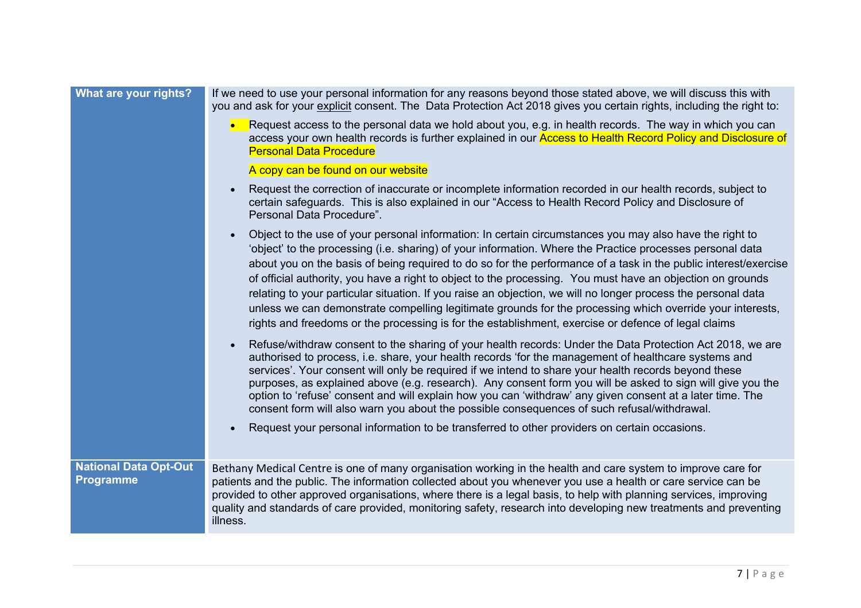| What are your rights?                            | If we need to use your personal information for any reasons beyond those stated above, we will discuss this with<br>you and ask for your explicit consent. The Data Protection Act 2018 gives you certain rights, including the right to:                                                                                                                                                                                                                                                                                                                                                                                                                                                                                                                                                  |
|--------------------------------------------------|--------------------------------------------------------------------------------------------------------------------------------------------------------------------------------------------------------------------------------------------------------------------------------------------------------------------------------------------------------------------------------------------------------------------------------------------------------------------------------------------------------------------------------------------------------------------------------------------------------------------------------------------------------------------------------------------------------------------------------------------------------------------------------------------|
|                                                  | Request access to the personal data we hold about you, e.g. in health records. The way in which you can<br>access your own health records is further explained in our <b>Access to Health Record Policy and Disclosure of</b><br><b>Personal Data Procedure</b>                                                                                                                                                                                                                                                                                                                                                                                                                                                                                                                            |
|                                                  | A copy can be found on our website                                                                                                                                                                                                                                                                                                                                                                                                                                                                                                                                                                                                                                                                                                                                                         |
|                                                  | Request the correction of inaccurate or incomplete information recorded in our health records, subject to<br>certain safeguards. This is also explained in our "Access to Health Record Policy and Disclosure of<br>Personal Data Procedure".                                                                                                                                                                                                                                                                                                                                                                                                                                                                                                                                              |
|                                                  | Object to the use of your personal information: In certain circumstances you may also have the right to<br>'object' to the processing (i.e. sharing) of your information. Where the Practice processes personal data<br>about you on the basis of being required to do so for the performance of a task in the public interest/exercise<br>of official authority, you have a right to object to the processing. You must have an objection on grounds<br>relating to your particular situation. If you raise an objection, we will no longer process the personal data<br>unless we can demonstrate compelling legitimate grounds for the processing which override your interests,<br>rights and freedoms or the processing is for the establishment, exercise or defence of legal claims |
|                                                  | Refuse/withdraw consent to the sharing of your health records: Under the Data Protection Act 2018, we are<br>authorised to process, i.e. share, your health records 'for the management of healthcare systems and<br>services'. Your consent will only be required if we intend to share your health records beyond these<br>purposes, as explained above (e.g. research). Any consent form you will be asked to sign will give you the<br>option to 'refuse' consent and will explain how you can 'withdraw' any given consent at a later time. The<br>consent form will also warn you about the possible consequences of such refusal/withdrawal.                                                                                                                                        |
|                                                  | Request your personal information to be transferred to other providers on certain occasions.                                                                                                                                                                                                                                                                                                                                                                                                                                                                                                                                                                                                                                                                                               |
| <b>National Data Opt-Out</b><br><b>Programme</b> | Bethany Medical Centre is one of many organisation working in the health and care system to improve care for<br>patients and the public. The information collected about you whenever you use a health or care service can be<br>provided to other approved organisations, where there is a legal basis, to help with planning services, improving<br>quality and standards of care provided, monitoring safety, research into developing new treatments and preventing<br>illness.                                                                                                                                                                                                                                                                                                        |
|                                                  |                                                                                                                                                                                                                                                                                                                                                                                                                                                                                                                                                                                                                                                                                                                                                                                            |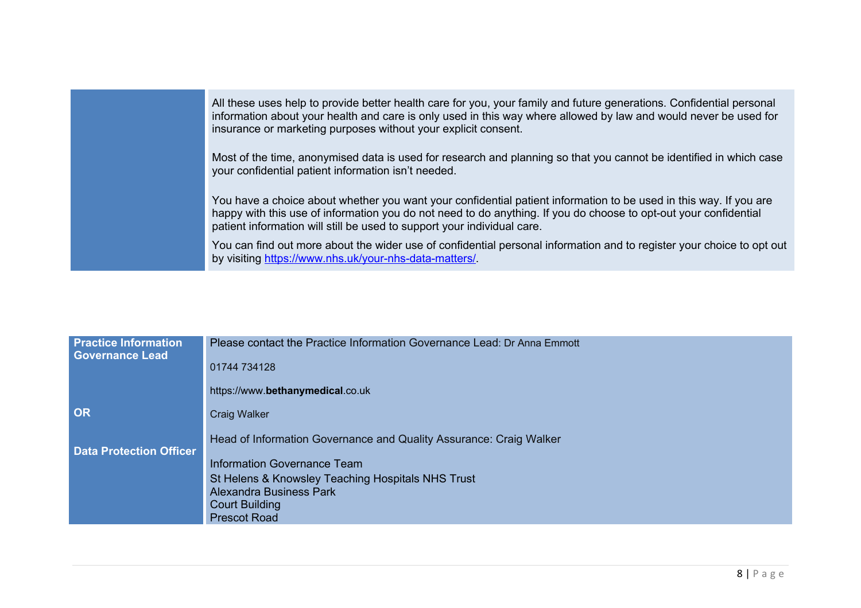| All these uses help to provide better health care for you, your family and future generations. Confidential personal<br>information about your health and care is only used in this way where allowed by law and would never be used for<br>insurance or marketing purposes without your explicit consent.       |
|------------------------------------------------------------------------------------------------------------------------------------------------------------------------------------------------------------------------------------------------------------------------------------------------------------------|
| Most of the time, anonymised data is used for research and planning so that you cannot be identified in which case<br>your confidential patient information isn't needed.                                                                                                                                        |
| You have a choice about whether you want your confidential patient information to be used in this way. If you are<br>happy with this use of information you do not need to do anything. If you do choose to opt-out your confidential<br>patient information will still be used to support your individual care. |
| You can find out more about the wider use of confidential personal information and to register your choice to opt out<br>by visiting https://www.nhs.uk/your-nhs-data-matters/                                                                                                                                   |

| <b>Practice Information</b><br><b>Governance Lead</b> | Please contact the Practice Information Governance Lead: Dr Anna Emmott |
|-------------------------------------------------------|-------------------------------------------------------------------------|
|                                                       | 01744 734128                                                            |
|                                                       | https://www.bethanymedical.co.uk                                        |
| <b>OR</b>                                             | <b>Craig Walker</b>                                                     |
| <b>Data Protection Officer</b>                        | Head of Information Governance and Quality Assurance: Craig Walker      |
|                                                       | Information Governance Team                                             |
|                                                       | St Helens & Knowsley Teaching Hospitals NHS Trust                       |
|                                                       | Alexandra Business Park<br><b>Court Building</b>                        |
|                                                       | <b>Prescot Road</b>                                                     |